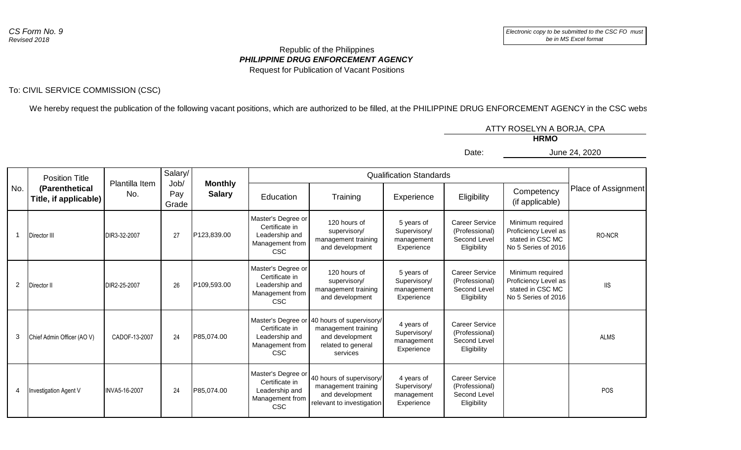## *PHILIPPINE DRUG ENFORCEMENT AGENCY* Republic of the Philippines Request for Publication of Vacant Positions

## To: CIVIL SERVICE COMMISSION (CSC)

We hereby request the publication of the following vacant positions, which are authorized to be filled, at the PHILIPPINE DRUG ENFORCEMENT AGENCY in the CSC website:

|        |                         |       | ATTY ROSELYN A BORJA, CPA |
|--------|-------------------------|-------|---------------------------|
|        |                         |       | <b>HRMO</b>               |
|        |                         | Date: | June 24, 2020             |
|        |                         |       |                           |
| alarv/ | Qualification Standarde |       |                           |

|                | <b>Position Title</b>                   |                       | Salary/              |                                 |                                                                                         |                                                                                                                         | <b>Qualification Standards</b>                         |                                                                        |                                                                                     |                     |
|----------------|-----------------------------------------|-----------------------|----------------------|---------------------------------|-----------------------------------------------------------------------------------------|-------------------------------------------------------------------------------------------------------------------------|--------------------------------------------------------|------------------------------------------------------------------------|-------------------------------------------------------------------------------------|---------------------|
| No.            | (Parenthetical<br>Title, if applicable) | Plantilla Item<br>No. | Job/<br>Pay<br>Grade | <b>Monthly</b><br><b>Salary</b> | Education                                                                               | Training                                                                                                                | Experience                                             | Eligibility                                                            | Competency<br>(if applicable)                                                       | Place of Assignment |
|                | Director III                            | DIR3-32-2007          | 27                   | P123,839.00                     | Master's Degree or<br>Certificate in<br>Leadership and<br>Management from<br><b>CSC</b> | 120 hours of<br>supervisory/<br>management training<br>and development                                                  | 5 years of<br>Supervisory/<br>management<br>Experience | <b>Career Service</b><br>(Professional)<br>Second Level<br>Eligibility | Minimum required<br>Proficiency Level as<br>stated in CSC MC<br>No 5 Series of 2016 | RO-NCR              |
| $\overline{2}$ | Director II                             | DIR2-25-2007          | 26                   | P109,593.00                     | Master's Degree or<br>Certificate in<br>Leadership and<br>Management from<br><b>CSC</b> | 120 hours of<br>supervisory/<br>management training<br>and development                                                  | 5 years of<br>Supervisory/<br>management<br>Experience | Career Service<br>(Professional)<br>Second Level<br>Eligibility        | Minimum required<br>Proficiency Level as<br>stated in CSC MC<br>No 5 Series of 2016 | <b>IIS</b>          |
| 3              | Chief Admin Officer (AO V)              | CADOF-13-2007         | 24                   | P85,074.00                      | Certificate in<br>Leadership and<br>Management from<br><b>CSC</b>                       | Master's Degree or 40 hours of supervisory/<br>management training<br>and development<br>related to general<br>services | 4 years of<br>Supervisory/<br>management<br>Experience | <b>Career Service</b><br>(Professional)<br>Second Level<br>Eligibility |                                                                                     | <b>ALMS</b>         |
| 4              | Investigation Agent V                   | INVA5-16-2007         | 24                   | P85,074.00                      | Master's Degree or<br>Certificate in<br>Leadership and<br>Management from<br><b>CSC</b> | 40 hours of supervisory/<br>management training<br>and development<br>relevant to investigation                         | 4 years of<br>Supervisory/<br>management<br>Experience | <b>Career Service</b><br>(Professional)<br>Second Level<br>Eligibility |                                                                                     | <b>POS</b>          |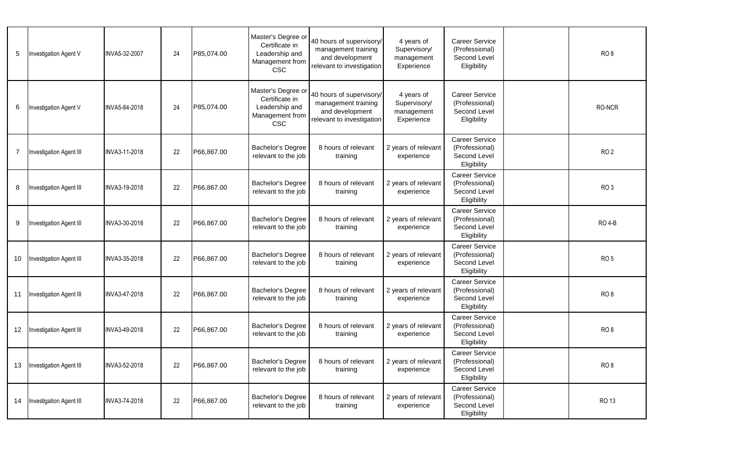| 5  | Investigation Agent V          | INVA5-32-2007 | 24 | P85,074.00 | Master's Degree or<br>Certificate in<br>Leadership and<br>Management from<br><b>CSC</b> | 40 hours of supervisory/<br>management training<br>and development<br>relevant to investigation | 4 years of<br>Supervisory/<br>management<br>Experience | <b>Career Service</b><br>(Professional)<br>Second Level<br>Eligibility | RO <sub>8</sub> |
|----|--------------------------------|---------------|----|------------|-----------------------------------------------------------------------------------------|-------------------------------------------------------------------------------------------------|--------------------------------------------------------|------------------------------------------------------------------------|-----------------|
| 6  | Investigation Agent V          | INVA5-84-2018 | 24 | P85,074.00 | Master's Degree or<br>Certificate in<br>Leadership and<br>Management from<br><b>CSC</b> | 40 hours of supervisory/<br>management training<br>and development<br>relevant to investigation | 4 years of<br>Supervisory/<br>management<br>Experience | <b>Career Service</b><br>(Professional)<br>Second Level<br>Eligibility | RO-NCR          |
| 7  | Investigation Agent III        | INVA3-11-2018 | 22 | P66,867.00 | <b>Bachelor's Degree</b><br>relevant to the job                                         | 8 hours of relevant<br>training                                                                 | 2 years of relevant<br>experience                      | Career Service<br>(Professional)<br>Second Level<br>Eligibility        | RO <sub>2</sub> |
| 8  | Investigation Agent III        | INVA3-19-2018 | 22 | P66,867.00 | <b>Bachelor's Degree</b><br>relevant to the job                                         | 8 hours of relevant<br>training                                                                 | 2 years of relevant<br>experience                      | <b>Career Service</b><br>(Professional)<br>Second Level<br>Eligibility | RO <sub>3</sub> |
| 9  | Investigation Agent III        | INVA3-30-2018 | 22 | P66,867.00 | <b>Bachelor's Degree</b><br>relevant to the job                                         | 8 hours of relevant<br>training                                                                 | 2 years of relevant<br>experience                      | <b>Career Service</b><br>(Professional)<br>Second Level<br>Eligibility | <b>RO 4-B</b>   |
| 10 | Investigation Agent III        | INVA3-35-2018 | 22 | P66,867.00 | Bachelor's Degree<br>relevant to the job                                                | 8 hours of relevant<br>training                                                                 | 2 years of relevant<br>experience                      | <b>Career Service</b><br>(Professional)<br>Second Level<br>Eligibility | RO <sub>5</sub> |
|    | 11 Investigation Agent III     | INVA3-47-2018 | 22 | P66,867.00 | Bachelor's Degree<br>relevant to the job                                                | 8 hours of relevant<br>training                                                                 | 2 years of relevant<br>experience                      | <b>Career Service</b><br>(Professional)<br>Second Level<br>Eligibility | RO <sub>8</sub> |
| 12 | Investigation Agent III        | INVA3-49-2018 | 22 | P66,867.00 | Bachelor's Degree<br>relevant to the job                                                | 8 hours of relevant<br>training                                                                 | 2 years of relevant<br>experience                      | Career Service<br>(Professional)<br>Second Level<br>Eligibility        | RO <sub>8</sub> |
|    | 13 Investigation Agent III     | INVA3-52-2018 | 22 | P66,867.00 | Bachelor's Degree<br>relevant to the job                                                | 8 hours of relevant<br>training                                                                 | 2 years of relevant<br>experience                      | Career Service<br>(Professional)<br>Second Level<br>Eligibility        | RO <sub>8</sub> |
| 14 | <b>Investigation Agent III</b> | INVA3-74-2018 | 22 | P66,867.00 | Bachelor's Degree<br>relevant to the job                                                | 8 hours of relevant<br>training                                                                 | 2 years of relevant<br>experience                      | Career Service<br>(Professional)<br>Second Level<br>Eligibility        | RO 13           |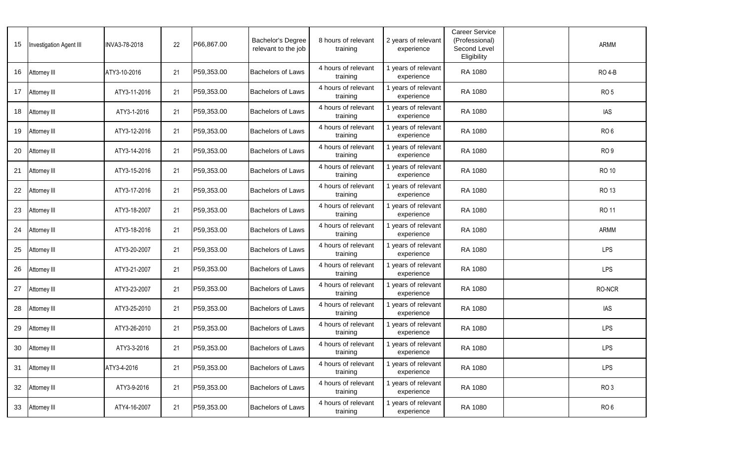| 15 | <b>Investigation Agent III</b> | INVA3-78-2018 | 22 | P66,867.00 | <b>Bachelor's Degree</b><br>relevant to the job | 8 hours of relevant<br>training | 2 years of relevant<br>experience | <b>Career Service</b><br>(Professional)<br>Second Level<br>Eligibility | ARMM            |
|----|--------------------------------|---------------|----|------------|-------------------------------------------------|---------------------------------|-----------------------------------|------------------------------------------------------------------------|-----------------|
| 16 | Attorney III                   | ATY3-10-2016  | 21 | P59,353.00 | <b>Bachelors of Laws</b>                        | 4 hours of relevant<br>training | I years of relevant<br>experience | RA 1080                                                                | <b>RO 4-B</b>   |
| 17 | Attorney III                   | ATY3-11-2016  | 21 | P59,353.00 | <b>Bachelors of Laws</b>                        | 4 hours of relevant<br>training | 1 years of relevant<br>experience | RA 1080                                                                | RO <sub>5</sub> |
| 18 | Attorney III                   | ATY3-1-2016   | 21 | P59,353.00 | <b>Bachelors of Laws</b>                        | 4 hours of relevant<br>training | 1 years of relevant<br>experience | RA 1080                                                                | <b>IAS</b>      |
| 19 | Attorney III                   | ATY3-12-2016  | 21 | P59,353.00 | <b>Bachelors of Laws</b>                        | 4 hours of relevant<br>training | 1 years of relevant<br>experience | RA 1080                                                                | RO <sub>6</sub> |
| 20 | Attorney III                   | ATY3-14-2016  | 21 | P59,353.00 | <b>Bachelors of Laws</b>                        | 4 hours of relevant<br>training | 1 years of relevant<br>experience | RA 1080                                                                | RO <sub>9</sub> |
| 21 | Attorney III                   | ATY3-15-2016  | 21 | P59,353.00 | <b>Bachelors of Laws</b>                        | 4 hours of relevant<br>training | 1 years of relevant<br>experience | RA 1080                                                                | <b>RO 10</b>    |
| 22 | Attorney III                   | ATY3-17-2016  | 21 | P59,353.00 | <b>Bachelors of Laws</b>                        | 4 hours of relevant<br>training | 1 years of relevant<br>experience | RA 1080                                                                | RO 13           |
| 23 | Attorney III                   | ATY3-18-2007  | 21 | P59,353.00 | <b>Bachelors of Laws</b>                        | 4 hours of relevant<br>training | 1 years of relevant<br>experience | RA 1080                                                                | <b>RO11</b>     |
| 24 | Attorney III                   | ATY3-18-2016  | 21 | P59,353.00 | <b>Bachelors of Laws</b>                        | 4 hours of relevant<br>training | 1 years of relevant<br>experience | RA 1080                                                                | ARMM            |
| 25 | Attorney III                   | ATY3-20-2007  | 21 | P59,353.00 | <b>Bachelors of Laws</b>                        | 4 hours of relevant<br>training | 1 years of relevant<br>experience | RA 1080                                                                | LPS             |
| 26 | Attorney III                   | ATY3-21-2007  | 21 | P59,353.00 | <b>Bachelors of Laws</b>                        | 4 hours of relevant<br>training | 1 years of relevant<br>experience | RA 1080                                                                | <b>LPS</b>      |
| 27 | Attorney III                   | ATY3-23-2007  | 21 | P59,353.00 | <b>Bachelors of Laws</b>                        | 4 hours of relevant<br>training | I years of relevant<br>experience | RA 1080                                                                | RO-NCR          |
| 28 | Attorney III                   | ATY3-25-2010  | 21 | P59,353.00 | <b>Bachelors of Laws</b>                        | 4 hours of relevant<br>training | 1 years of relevant<br>experience | RA 1080                                                                | IAS             |
| 29 | Attorney III                   | ATY3-26-2010  | 21 | P59,353.00 | <b>Bachelors of Laws</b>                        | 4 hours of relevant<br>training | I years of relevant<br>experience | RA 1080                                                                | <b>LPS</b>      |
|    | 30 Attorney III                | ATY3-3-2016   | 21 | P59,353.00 | <b>Bachelors of Laws</b>                        | 4 hours of relevant<br>training | 1 years of relevant<br>experience | RA 1080                                                                | <b>LPS</b>      |
| 31 | Attorney III                   | ATY3-4-2016   | 21 | P59,353.00 | <b>Bachelors of Laws</b>                        | 4 hours of relevant<br>training | I years of relevant<br>experience | RA 1080                                                                | LPS             |
| 32 | Attorney III                   | ATY3-9-2016   | 21 | P59,353.00 | <b>Bachelors of Laws</b>                        | 4 hours of relevant<br>training | 1 years of relevant<br>experience | RA 1080                                                                | RO <sub>3</sub> |
| 33 | Attorney III                   | ATY4-16-2007  | 21 | P59,353.00 | Bachelors of Laws                               | 4 hours of relevant<br>training | years of relevant<br>experience   | RA 1080                                                                | RO <sub>6</sub> |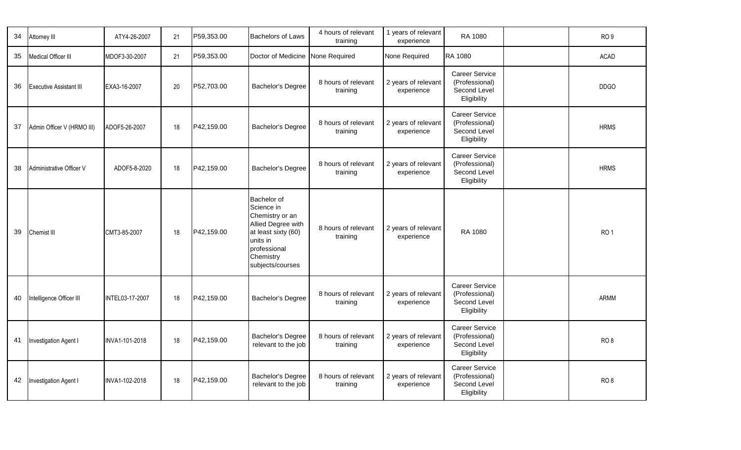| 34 | Attorney III                   | ATY4-26-2007    | 21 | P59,353.00 | <b>Bachelors of Laws</b>                                                                                                                               | 4 hours of relevant<br>training | 1 years of relevant<br>experience | RA 1080                                                                | RO <sub>9</sub> |
|----|--------------------------------|-----------------|----|------------|--------------------------------------------------------------------------------------------------------------------------------------------------------|---------------------------------|-----------------------------------|------------------------------------------------------------------------|-----------------|
| 35 | Medical Officer III            | MDOF3-30-2007   | 21 | P59,353.00 | Doctor of Medicine None Required                                                                                                                       |                                 | None Required                     | RA 1080                                                                | <b>ACAD</b>     |
| 36 | <b>Executive Assistant III</b> | EXA3-16-2007    | 20 | P52,703.00 | Bachelor's Degree                                                                                                                                      | 8 hours of relevant<br>training | 2 years of relevant<br>experience | <b>Career Service</b><br>(Professional)<br>Second Level<br>Eligibility | <b>DDGO</b>     |
| 37 | Admin Officer V (HRMO III)     | ADOF5-26-2007   | 18 | P42,159.00 | Bachelor's Degree                                                                                                                                      | 8 hours of relevant<br>training | 2 years of relevant<br>experience | <b>Career Service</b><br>(Professional)<br>Second Level<br>Eligibility | <b>HRMS</b>     |
| 38 | Administrative Officer V       | ADOF5-8-2020    | 18 | P42,159.00 | Bachelor's Degree                                                                                                                                      | 8 hours of relevant<br>training | 2 years of relevant<br>experience | <b>Career Service</b><br>(Professional)<br>Second Level<br>Eligibility | <b>HRMS</b>     |
| 39 | Chemist III                    | CMT3-85-2007    | 18 | P42,159.00 | Bachelor of<br>Science in<br>Chemistry or an<br>Allied Degree with<br>at least sixty (60)<br>units in<br>professional<br>Chemistry<br>subjects/courses | 8 hours of relevant<br>training | 2 years of relevant<br>experience | RA 1080                                                                | RO <sub>1</sub> |
| 40 | Intelligence Officer III       | INTEL03-17-2007 | 18 | P42,159.00 | Bachelor's Degree                                                                                                                                      | 8 hours of relevant<br>training | 2 years of relevant<br>experience | <b>Career Service</b><br>(Professional)<br>Second Level<br>Eligibility | ARMM            |
| 41 | Investigation Agent I          | INVA1-101-2018  | 18 | P42,159.00 | Bachelor's Degree<br>relevant to the job                                                                                                               | 8 hours of relevant<br>training | 2 years of relevant<br>experience | Career Service<br>(Professional)<br>Second Level<br>Eligibility        | RO <sub>8</sub> |
| 42 | Investigation Agent I          | INVA1-102-2018  | 18 | P42,159.00 | Bachelor's Degree<br>relevant to the job                                                                                                               | 8 hours of relevant<br>training | 2 years of relevant<br>experience | Career Service<br>(Professional)<br>Second Level<br>Eligibility        | RO <sub>8</sub> |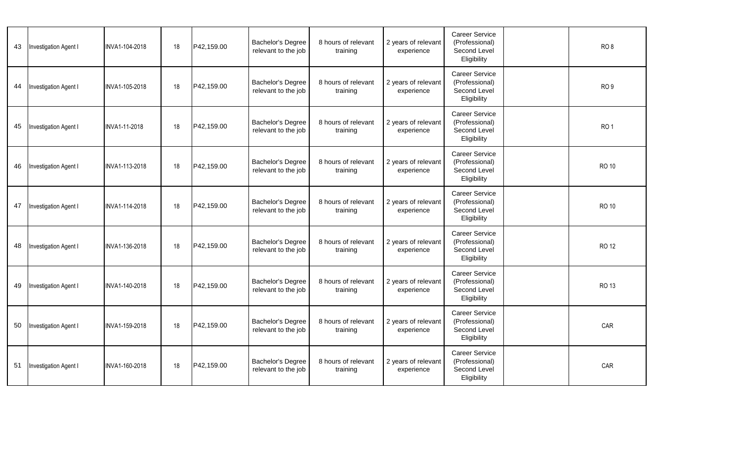| 43 | Investigation Agent I        | INVA1-104-2018 | 18 | P42,159.00 | Bachelor's Degree<br>relevant to the job        | 8 hours of relevant<br>training | 2 years of relevant<br>experience | <b>Career Service</b><br>(Professional)<br>Second Level<br>Eligibility | RO <sub>8</sub> |
|----|------------------------------|----------------|----|------------|-------------------------------------------------|---------------------------------|-----------------------------------|------------------------------------------------------------------------|-----------------|
| 44 | <b>Investigation Agent I</b> | INVA1-105-2018 | 18 | P42,159.00 | Bachelor's Degree<br>relevant to the job        | 8 hours of relevant<br>training | 2 years of relevant<br>experience | <b>Career Service</b><br>(Professional)<br>Second Level<br>Eligibility | RO <sub>9</sub> |
| 45 | <b>Investigation Agent I</b> | INVA1-11-2018  | 18 | P42,159.00 | Bachelor's Degree<br>relevant to the job        | 8 hours of relevant<br>training | 2 years of relevant<br>experience | <b>Career Service</b><br>(Professional)<br>Second Level<br>Eligibility | RO <sub>1</sub> |
| 46 | Investigation Agent I        | INVA1-113-2018 | 18 | P42,159.00 | <b>Bachelor's Degree</b><br>relevant to the job | 8 hours of relevant<br>training | 2 years of relevant<br>experience | <b>Career Service</b><br>(Professional)<br>Second Level<br>Eligibility | <b>RO 10</b>    |
| 47 | <b>Investigation Agent I</b> | INVA1-114-2018 | 18 | P42,159.00 | <b>Bachelor's Degree</b><br>relevant to the job | 8 hours of relevant<br>training | 2 years of relevant<br>experience | <b>Career Service</b><br>(Professional)<br>Second Level<br>Eligibility | <b>RO 10</b>    |
| 48 | <b>Investigation Agent I</b> | INVA1-136-2018 | 18 | P42,159.00 | Bachelor's Degree<br>relevant to the job        | 8 hours of relevant<br>training | 2 years of relevant<br>experience | <b>Career Service</b><br>(Professional)<br>Second Level<br>Eligibility | <b>RO 12</b>    |
| 49 | <b>Investigation Agent I</b> | INVA1-140-2018 | 18 | P42,159.00 | <b>Bachelor's Degree</b><br>relevant to the job | 8 hours of relevant<br>training | 2 years of relevant<br>experience | <b>Career Service</b><br>(Professional)<br>Second Level<br>Eligibility | RO 13           |
| 50 | <b>Investigation Agent I</b> | INVA1-159-2018 | 18 | P42,159.00 | Bachelor's Degree<br>relevant to the job        | 8 hours of relevant<br>training | 2 years of relevant<br>experience | <b>Career Service</b><br>(Professional)<br>Second Level<br>Eligibility | CAR             |
| 51 | Investigation Agent I        | INVA1-160-2018 | 18 | P42,159.00 | Bachelor's Degree<br>relevant to the job        | 8 hours of relevant<br>training | 2 years of relevant<br>experience | <b>Career Service</b><br>(Professional)<br>Second Level<br>Eligibility | CAR             |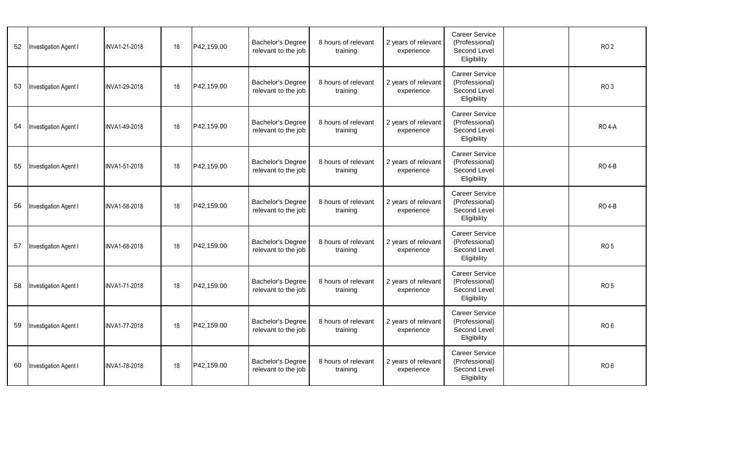| 52 | Investigation Agent I        | INVA1-21-2018 | 18 | P42,159.00 | Bachelor's Degree<br>relevant to the job        | 8 hours of relevant<br>training | 2 years of relevant<br>experience | <b>Career Service</b><br>(Professional)<br>Second Level<br>Eligibility | RO <sub>2</sub> |  |
|----|------------------------------|---------------|----|------------|-------------------------------------------------|---------------------------------|-----------------------------------|------------------------------------------------------------------------|-----------------|--|
| 53 | Investigation Agent I        | INVA1-29-2018 | 18 | P42,159.00 | <b>Bachelor's Degree</b><br>relevant to the job | 8 hours of relevant<br>training | 2 years of relevant<br>experience | <b>Career Service</b><br>(Professional)<br>Second Level<br>Eligibility | RO <sub>3</sub> |  |
| 54 | <b>Investigation Agent I</b> | INVA1-49-2018 | 18 | P42,159.00 | <b>Bachelor's Degree</b><br>relevant to the job | 8 hours of relevant<br>training | 2 years of relevant<br>experience | Career Service<br>(Professional)<br>Second Level<br>Eligibility        | <b>RO 4-A</b>   |  |
| 55 | Investigation Agent I        | INVA1-51-2018 | 18 | P42,159.00 | <b>Bachelor's Degree</b><br>relevant to the job | 8 hours of relevant<br>training | 2 years of relevant<br>experience | <b>Career Service</b><br>(Professional)<br>Second Level<br>Eligibility | <b>RO 4-B</b>   |  |
| 56 | Investigation Agent I        | INVA1-58-2018 | 18 | P42,159.00 | Bachelor's Degree<br>relevant to the job        | 8 hours of relevant<br>training | 2 years of relevant<br>experience | <b>Career Service</b><br>(Professional)<br>Second Level<br>Eligibility | <b>RO 4-B</b>   |  |
| 57 | Investigation Agent I        | INVA1-68-2018 | 18 | P42,159.00 | Bachelor's Degree<br>relevant to the job        | 8 hours of relevant<br>training | 2 years of relevant<br>experience | <b>Career Service</b><br>(Professional)<br>Second Level<br>Eligibility | RO <sub>5</sub> |  |
| 58 | Investigation Agent I        | INVA1-71-2018 | 18 | P42,159.00 | <b>Bachelor's Degree</b><br>relevant to the job | 8 hours of relevant<br>training | 2 years of relevant<br>experience | <b>Career Service</b><br>(Professional)<br>Second Level<br>Eligibility | RO <sub>5</sub> |  |
| 59 | Investigation Agent I        | INVA1-77-2018 | 18 | P42,159.00 | <b>Bachelor's Degree</b><br>relevant to the job | 8 hours of relevant<br>training | 2 years of relevant<br>experience | <b>Career Service</b><br>(Professional)<br>Second Level<br>Eligibility | RO <sub>6</sub> |  |
| 60 | Investigation Agent I        | INVA1-78-2018 | 18 | P42.159.00 | <b>Bachelor's Degree</b><br>relevant to the job | 8 hours of relevant<br>training | 2 years of relevant<br>experience | <b>Career Service</b><br>(Professional)<br>Second Level<br>Eligibility | RO <sub>6</sub> |  |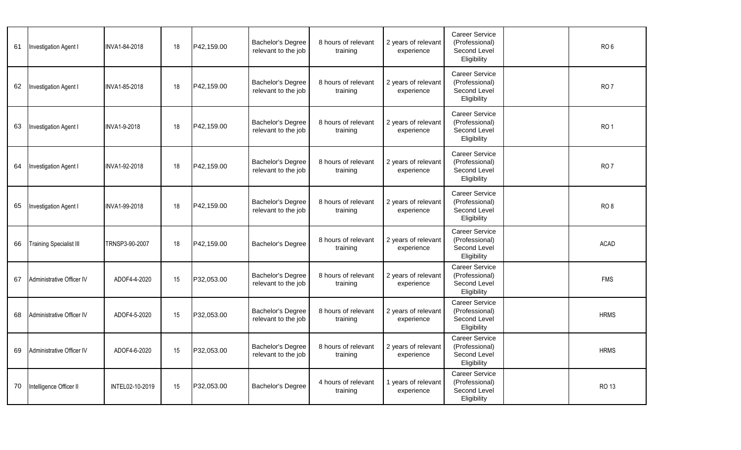| 61 | Investigation Agent I          | INVA1-84-2018   | 18 | P42,159.00 | Bachelor's Degree<br>relevant to the job        | 8 hours of relevant<br>training | 2 years of relevant<br>experience | Career Service<br>(Professional)<br>Second Level<br>Eligibility        | RO <sub>6</sub> |
|----|--------------------------------|-----------------|----|------------|-------------------------------------------------|---------------------------------|-----------------------------------|------------------------------------------------------------------------|-----------------|
| 62 | Investigation Agent I          | INVA1-85-2018   | 18 | P42,159.00 | Bachelor's Degree<br>relevant to the job        | 8 hours of relevant<br>training | 2 years of relevant<br>experience | Career Service<br>(Professional)<br>Second Level<br>Eligibility        | RO <sub>7</sub> |
| 63 | Investigation Agent I          | INVA1-9-2018    | 18 | P42,159.00 | <b>Bachelor's Degree</b><br>relevant to the job | 8 hours of relevant<br>training | 2 years of relevant<br>experience | <b>Career Service</b><br>(Professional)<br>Second Level<br>Eligibility | RO <sub>1</sub> |
| 64 | Investigation Agent I          | INVA1-92-2018   | 18 | P42,159.00 | Bachelor's Degree<br>relevant to the job        | 8 hours of relevant<br>training | 2 years of relevant<br>experience | <b>Career Service</b><br>(Professional)<br>Second Level<br>Eligibility | RO <sub>7</sub> |
| 65 | Investigation Agent I          | INVA1-99-2018   | 18 | P42,159.00 | Bachelor's Degree<br>relevant to the job        | 8 hours of relevant<br>training | 2 years of relevant<br>experience | <b>Career Service</b><br>(Professional)<br>Second Level<br>Eligibility | RO <sub>8</sub> |
| 66 | <b>Training Specialist III</b> | TRNSP3-90-2007  | 18 | P42,159.00 | Bachelor's Degree                               | 8 hours of relevant<br>training | 2 years of relevant<br>experience | <b>Career Service</b><br>(Professional)<br>Second Level<br>Eligibility | ACAD            |
| 67 | Administrative Officer IV      | ADOF4-4-2020    | 15 | P32,053.00 | Bachelor's Degree<br>relevant to the job        | 8 hours of relevant<br>training | 2 years of relevant<br>experience | <b>Career Service</b><br>(Professional)<br>Second Level<br>Eligibility | <b>FMS</b>      |
| 68 | Administrative Officer IV      | ADOF4-5-2020    | 15 | P32,053.00 | Bachelor's Degree<br>relevant to the job        | 8 hours of relevant<br>training | 2 years of relevant<br>experience | Career Service<br>(Professional)<br>Second Level<br>Eligibility        | <b>HRMS</b>     |
|    | 69 Administrative Officer IV   | ADOF4-6-2020    | 15 | P32,053.00 | Bachelor's Degree<br>relevant to the job        | 8 hours of relevant<br>training | 2 years of relevant<br>experience | <b>Career Service</b><br>(Professional)<br>Second Level<br>Eligibility | <b>HRMS</b>     |
| 70 | Intelligence Officer II        | INTEL02-10-2019 | 15 | P32,053.00 | <b>Bachelor's Degree</b>                        | 4 hours of relevant<br>training | 1 years of relevant<br>experience | <b>Career Service</b><br>(Professional)<br>Second Level<br>Eligibility | RO 13           |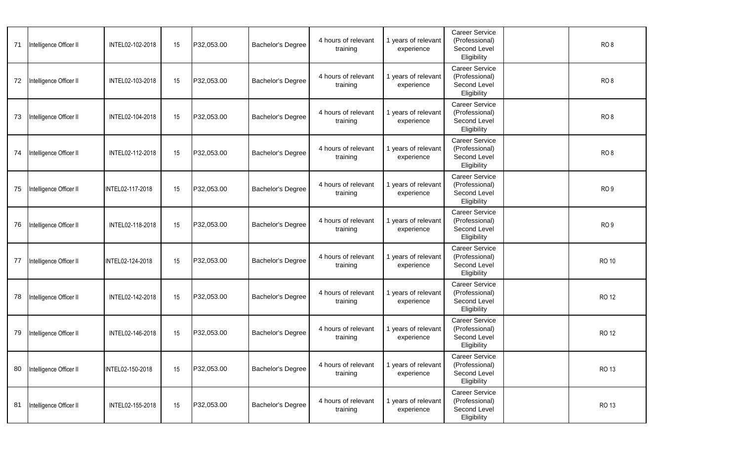| 71 | Intelligence Officer II | INTEL02-102-2018 | 15 | P32,053.00 | <b>Bachelor's Degree</b> | 4 hours of relevant<br>training | 1 years of relevant<br>experience | Career Service<br>(Professional)<br>Second Level<br>Eligibility        | RO <sub>8</sub> |
|----|-------------------------|------------------|----|------------|--------------------------|---------------------------------|-----------------------------------|------------------------------------------------------------------------|-----------------|
| 72 | ntelligence Officer II  | INTEL02-103-2018 | 15 | P32,053.00 | <b>Bachelor's Degree</b> | 4 hours of relevant<br>training | 1 years of relevant<br>experience | Career Service<br>(Professional)<br>Second Level<br>Eligibility        | RO <sub>8</sub> |
| 73 | Intelligence Officer II | INTEL02-104-2018 | 15 | P32,053.00 | <b>Bachelor's Degree</b> | 4 hours of relevant<br>training | 1 years of relevant<br>experience | <b>Career Service</b><br>(Professional)<br>Second Level<br>Eligibility | RO <sub>8</sub> |
| 74 | Intelligence Officer II | INTEL02-112-2018 | 15 | P32,053.00 | <b>Bachelor's Degree</b> | 4 hours of relevant<br>training | 1 years of relevant<br>experience | Career Service<br>(Professional)<br>Second Level<br>Eligibility        | RO <sub>8</sub> |
| 75 | Intelligence Officer II | INTEL02-117-2018 | 15 | P32,053.00 | <b>Bachelor's Degree</b> | 4 hours of relevant<br>training | 1 years of relevant<br>experience | Career Service<br>(Professional)<br>Second Level<br>Eligibility        | RO <sub>9</sub> |
| 76 | Intelligence Officer II | INTEL02-118-2018 | 15 | P32,053.00 | <b>Bachelor's Degree</b> | 4 hours of relevant<br>training | 1 years of relevant<br>experience | <b>Career Service</b><br>(Professional)<br>Second Level<br>Eligibility | RO <sub>9</sub> |
| 77 | Intelligence Officer II | INTEL02-124-2018 | 15 | P32,053.00 | <b>Bachelor's Degree</b> | 4 hours of relevant<br>training | 1 years of relevant<br>experience | <b>Career Service</b><br>(Professional)<br>Second Level<br>Eligibility | <b>RO 10</b>    |
| 78 | Intelligence Officer II | INTEL02-142-2018 | 15 | P32,053.00 | <b>Bachelor's Degree</b> | 4 hours of relevant<br>training | 1 years of relevant<br>experience | Career Service<br>(Professional)<br>Second Level<br>Eligibility        | <b>RO12</b>     |
| 79 | Intelligence Officer II | INTEL02-146-2018 | 15 | P32,053.00 | <b>Bachelor's Degree</b> | 4 hours of relevant<br>training | 1 years of relevant<br>experience | <b>Career Service</b><br>(Professional)<br>Second Level<br>Eligibility | <b>RO12</b>     |
| 80 | Intelligence Officer II | INTEL02-150-2018 | 15 | P32,053.00 | <b>Bachelor's Degree</b> | 4 hours of relevant<br>training | 1 years of relevant<br>experience | <b>Career Service</b><br>(Professional)<br>Second Level<br>Eligibility | RO 13           |
| 81 | Intelligence Officer II | INTEL02-155-2018 | 15 | P32,053.00 | Bachelor's Degree        | 4 hours of relevant<br>training | 1 years of relevant<br>experience | Career Service<br>(Professional)<br>Second Level<br>Eligibility        | RO 13           |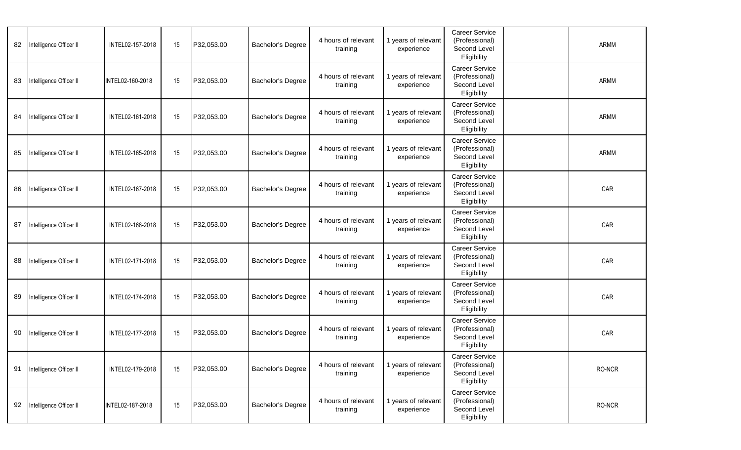| 82 | Intelligence Officer II | INTEL02-157-2018 | 15 | P32,053.00 | <b>Bachelor's Degree</b> | 4 hours of relevant<br>training | 1 years of relevant<br>experience | <b>Career Service</b><br>(Professional)<br>Second Level<br>Eligibility | ARMM   |
|----|-------------------------|------------------|----|------------|--------------------------|---------------------------------|-----------------------------------|------------------------------------------------------------------------|--------|
| 83 | Intelligence Officer II | INTEL02-160-2018 | 15 | P32,053.00 | <b>Bachelor's Degree</b> | 4 hours of relevant<br>training | 1 years of relevant<br>experience | Career Service<br>(Professional)<br>Second Level<br>Eligibility        | ARMM   |
| 84 | Intelligence Officer II | INTEL02-161-2018 | 15 | P32,053.00 | <b>Bachelor's Degree</b> | 4 hours of relevant<br>training | 1 years of relevant<br>experience | <b>Career Service</b><br>(Professional)<br>Second Level<br>Eligibility | ARMM   |
| 85 | Intelligence Officer II | INTEL02-165-2018 | 15 | P32,053.00 | <b>Bachelor's Degree</b> | 4 hours of relevant<br>training | 1 years of relevant<br>experience | <b>Career Service</b><br>(Professional)<br>Second Level<br>Eligibility | ARMM   |
| 86 | Intelligence Officer II | INTEL02-167-2018 | 15 | P32,053.00 | <b>Bachelor's Degree</b> | 4 hours of relevant<br>training | 1 years of relevant<br>experience | Career Service<br>(Professional)<br>Second Level<br>Eligibility        | CAR    |
| 87 | Intelligence Officer II | INTEL02-168-2018 | 15 | P32,053.00 | <b>Bachelor's Degree</b> | 4 hours of relevant<br>training | 1 years of relevant<br>experience | <b>Career Service</b><br>(Professional)<br>Second Level<br>Eligibility | CAR    |
| 88 | Intelligence Officer II | INTEL02-171-2018 | 15 | P32,053.00 | <b>Bachelor's Degree</b> | 4 hours of relevant<br>training | 1 years of relevant<br>experience | <b>Career Service</b><br>(Professional)<br>Second Level<br>Eligibility | CAR    |
| 89 | Intelligence Officer II | INTEL02-174-2018 | 15 | P32,053.00 | <b>Bachelor's Degree</b> | 4 hours of relevant<br>training | 1 years of relevant<br>experience | Career Service<br>(Professional)<br>Second Level<br>Eligibility        | CAR    |
| 90 | Intelligence Officer II | INTEL02-177-2018 | 15 | P32,053.00 | <b>Bachelor's Degree</b> | 4 hours of relevant<br>training | 1 years of relevant<br>experience | <b>Career Service</b><br>(Professional)<br>Second Level<br>Eligibility | CAR    |
| 91 | Intelligence Officer II | INTEL02-179-2018 | 15 | P32,053.00 | <b>Bachelor's Degree</b> | 4 hours of relevant<br>training | 1 years of relevant<br>experience | <b>Career Service</b><br>(Professional)<br>Second Level<br>Eligibility | RO-NCR |
| 92 | Intelligence Officer II | INTEL02-187-2018 | 15 | P32,053.00 | <b>Bachelor's Degree</b> | 4 hours of relevant<br>training | 1 years of relevant<br>experience | Career Service<br>(Professional)<br>Second Level<br>Eligibility        | RO-NCR |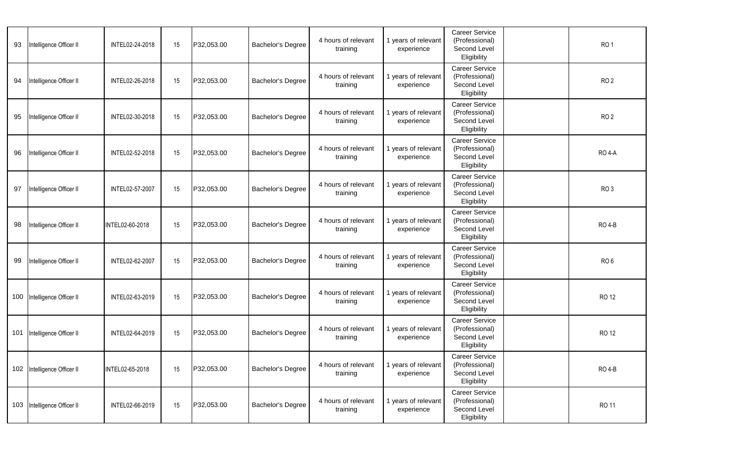| 93  | Intelligence Officer II     | INTEL02-24-2018 | 15 | P32,053.00 | <b>Bachelor's Degree</b> | 4 hours of relevant<br>training | 1 years of relevant<br>experience | Career Service<br>(Professional)<br>Second Level<br>Eligibility        | RO <sub>1</sub> |
|-----|-----------------------------|-----------------|----|------------|--------------------------|---------------------------------|-----------------------------------|------------------------------------------------------------------------|-----------------|
| 94  | Intelligence Officer II     | INTEL02-26-2018 | 15 | P32,053.00 | <b>Bachelor's Degree</b> | 4 hours of relevant<br>training | 1 years of relevant<br>experience | <b>Career Service</b><br>(Professional)<br>Second Level<br>Eligibility | RO <sub>2</sub> |
| 95  | Intelligence Officer II     | INTEL02-30-2018 | 15 | P32,053.00 | <b>Bachelor's Degree</b> | 4 hours of relevant<br>training | 1 years of relevant<br>experience | <b>Career Service</b><br>(Professional)<br>Second Level<br>Eligibility | RO <sub>2</sub> |
| 96  | Intelligence Officer II     | INTEL02-52-2018 | 15 | P32,053.00 | <b>Bachelor's Degree</b> | 4 hours of relevant<br>training | 1 years of relevant<br>experience | <b>Career Service</b><br>(Professional)<br>Second Level<br>Eligibility | <b>RO 4-A</b>   |
| 97  | Intelligence Officer II     | INTEL02-57-2007 | 15 | P32,053.00 | <b>Bachelor's Degree</b> | 4 hours of relevant<br>training | 1 years of relevant<br>experience | <b>Career Service</b><br>(Professional)<br>Second Level<br>Eligibility | RO <sub>3</sub> |
| 98  | Intelligence Officer II     | INTEL02-60-2018 | 15 | P32,053.00 | <b>Bachelor's Degree</b> | 4 hours of relevant<br>training | 1 years of relevant<br>experience | <b>Career Service</b><br>(Professional)<br>Second Level<br>Eligibility | <b>RO 4-B</b>   |
| 99  | Intelligence Officer II     | INTEL02-62-2007 | 15 | P32,053.00 | <b>Bachelor's Degree</b> | 4 hours of relevant<br>training | 1 years of relevant<br>experience | Career Service<br>(Professional)<br>Second Level<br>Eligibility        | RO <sub>6</sub> |
| 100 | Intelligence Officer II     | INTEL02-63-2019 | 15 | P32,053.00 | <b>Bachelor's Degree</b> | 4 hours of relevant<br>training | 1 years of relevant<br>experience | Career Service<br>(Professional)<br>Second Level<br>Eligibility        | <b>RO 12</b>    |
| 101 | Intelligence Officer II     | INTEL02-64-2019 | 15 | P32,053.00 | <b>Bachelor's Degree</b> | 4 hours of relevant<br>training | 1 years of relevant<br>experience | <b>Career Service</b><br>(Professional)<br>Second Level<br>Eligibility | <b>RO 12</b>    |
|     | 102 Intelligence Officer II | INTEL02-65-2018 | 15 | P32,053.00 | Bachelor's Degree        | 4 hours of relevant<br>training | 1 years of relevant<br>experience | <b>Career Service</b><br>(Professional)<br>Second Level<br>Eligibility | <b>RO 4-B</b>   |
|     | 103 Intelligence Officer II | INTEL02-66-2019 | 15 | P32,053.00 | Bachelor's Degree        | 4 hours of relevant<br>training | 1 years of relevant<br>experience | Career Service<br>(Professional)<br>Second Level<br>Eligibility        | RO 11           |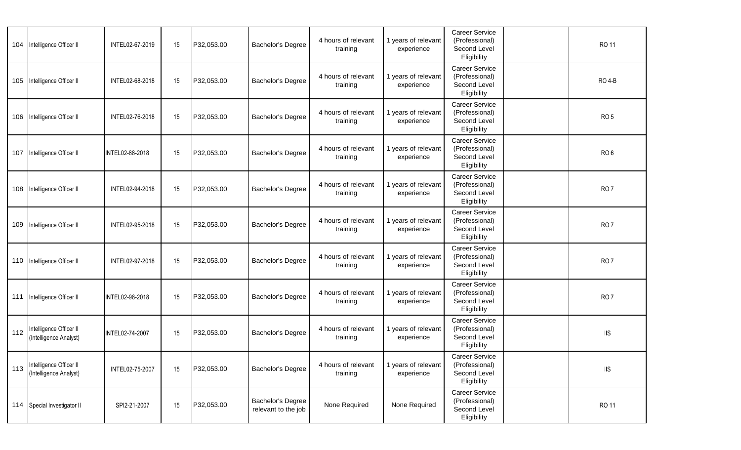|     | 104 Intelligence Officer II                       | INTEL02-67-2019 | 15 | P32,053.00 | <b>Bachelor's Degree</b>                 | 4 hours of relevant<br>training | 1 years of relevant<br>experience | <b>Career Service</b><br>(Professional)<br>Second Level<br>Eligibility | <b>RO 11</b>              |
|-----|---------------------------------------------------|-----------------|----|------------|------------------------------------------|---------------------------------|-----------------------------------|------------------------------------------------------------------------|---------------------------|
| 105 | Intelligence Officer II                           | INTEL02-68-2018 | 15 | P32,053.00 | <b>Bachelor's Degree</b>                 | 4 hours of relevant<br>training | 1 years of relevant<br>experience | <b>Career Service</b><br>(Professional)<br>Second Level<br>Eligibility | <b>RO 4-B</b>             |
|     | 106 Intelligence Officer II                       | INTEL02-76-2018 | 15 | P32,053.00 | <b>Bachelor's Degree</b>                 | 4 hours of relevant<br>training | 1 years of relevant<br>experience | <b>Career Service</b><br>(Professional)<br>Second Level<br>Eligibility | RO <sub>5</sub>           |
|     | 107 Intelligence Officer II                       | INTEL02-88-2018 | 15 | P32,053.00 | <b>Bachelor's Degree</b>                 | 4 hours of relevant<br>training | 1 years of relevant<br>experience | <b>Career Service</b><br>(Professional)<br>Second Level<br>Eligibility | RO <sub>6</sub>           |
|     | 108 Intelligence Officer II                       | INTEL02-94-2018 | 15 | P32,053.00 | <b>Bachelor's Degree</b>                 | 4 hours of relevant<br>training | 1 years of relevant<br>experience | <b>Career Service</b><br>(Professional)<br>Second Level<br>Eligibility | RO <sub>7</sub>           |
|     | 109 Intelligence Officer II                       | INTEL02-95-2018 | 15 | P32,053.00 | <b>Bachelor's Degree</b>                 | 4 hours of relevant<br>training | 1 years of relevant<br>experience | Career Service<br>(Professional)<br>Second Level<br>Eligibility        | RO <sub>7</sub>           |
|     | 110 Intelligence Officer II                       | INTEL02-97-2018 | 15 | P32,053.00 | <b>Bachelor's Degree</b>                 | 4 hours of relevant<br>training | 1 years of relevant<br>experience | <b>Career Service</b><br>(Professional)<br>Second Level<br>Eligibility | RO <sub>7</sub>           |
|     | 111 Intelligence Officer II                       | INTEL02-98-2018 | 15 | P32,053.00 | <b>Bachelor's Degree</b>                 | 4 hours of relevant<br>training | 1 years of relevant<br>experience | Career Service<br>(Professional)<br>Second Level<br>Eligibility        | RO <sub>7</sub>           |
| 112 | Intelligence Officer II<br>(Intelligence Analyst) | INTEL02-74-2007 | 15 | P32,053.00 | <b>Bachelor's Degree</b>                 | 4 hours of relevant<br>training | 1 years of relevant<br>experience | <b>Career Service</b><br>(Professional)<br>Second Level<br>Eligibility | $\rm IIS$                 |
| 113 | Intelligence Officer II<br>(Intelligence Analyst) | INTEL02-75-2007 | 15 | P32,053.00 | Bachelor's Degree                        | 4 hours of relevant<br>training | 1 years of relevant<br>experience | Career Service<br>(Professional)<br>Second Level<br>Eligibility        | $\overline{\mathsf{IIS}}$ |
|     | 114 Special Investigator II                       | SPI2-21-2007    | 15 | P32,053.00 | Bachelor's Degree<br>relevant to the job | None Required                   | None Required                     | Career Service<br>(Professional)<br>Second Level<br>Eligibility        | RO 11                     |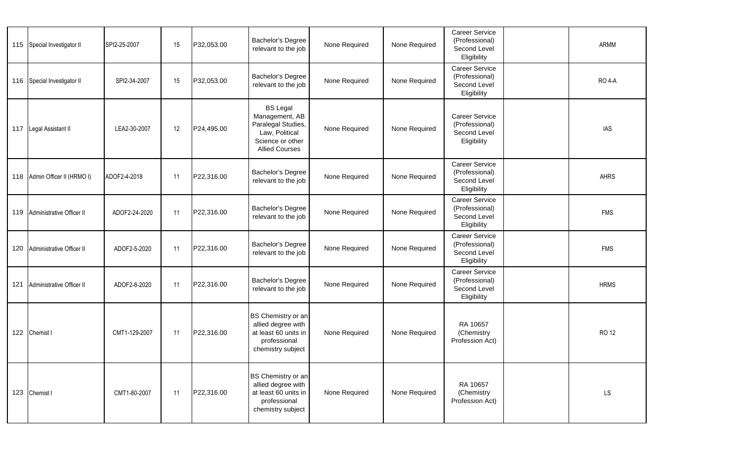| 115 Special Investigator II   | SPI2-25-2007  | 15 | P32,053.00 | Bachelor's Degree<br>relevant to the job                                                                               | None Required | None Required | Career Service<br>(Professional)<br>Second Level<br>Eligibility        | ARMM          |
|-------------------------------|---------------|----|------------|------------------------------------------------------------------------------------------------------------------------|---------------|---------------|------------------------------------------------------------------------|---------------|
| 116 Special Investigator II   | SPI2-34-2007  | 15 | P32,053.00 | Bachelor's Degree<br>relevant to the job                                                                               | None Required | None Required | Career Service<br>(Professional)<br>Second Level<br>Eligibility        | <b>RO 4-A</b> |
| 117 Legal Assistant II        | LEA2-30-2007  | 12 | P24,495.00 | <b>BS Legal</b><br>Management, AB<br>Paralegal Studies,<br>Law, Political<br>Science or other<br><b>Allied Courses</b> | None Required | None Required | <b>Career Service</b><br>(Professional)<br>Second Level<br>Eligibility | <b>IAS</b>    |
| 118 Admin Officer II (HRMO I) | ADOF2-4-2018  | 11 | P22,316.00 | Bachelor's Degree<br>relevant to the job                                                                               | None Required | None Required | Career Service<br>(Professional)<br>Second Level<br>Eligibility        | AHRS          |
| 119 Administrative Officer II | ADOF2-24-2020 | 11 | P22,316.00 | Bachelor's Degree<br>relevant to the job                                                                               | None Required | None Required | Career Service<br>(Professional)<br>Second Level<br>Eligibility        | <b>FMS</b>    |
| 120 Administrative Officer II | ADOF2-5-2020  | 11 | P22,316.00 | Bachelor's Degree<br>relevant to the job                                                                               | None Required | None Required | Career Service<br>(Professional)<br>Second Level<br>Eligibility        | <b>FMS</b>    |
| 121 Administrative Officer II | ADOF2-8-2020  | 11 | P22,316.00 | Bachelor's Degree<br>relevant to the job                                                                               | None Required | None Required | Career Service<br>(Professional)<br>Second Level<br>Eligibility        | <b>HRMS</b>   |
| 122 Chemist I                 | CMT1-129-2007 | 11 | P22,316.00 | BS Chemistry or an<br>allied degree with<br>at least 60 units in<br>professional<br>chemistry subject                  | None Required | None Required | RA 10657<br>(Chemistry<br>Profession Act)                              | <b>RO 12</b>  |
| 123 Chemist I                 | CMT1-80-2007  | 11 | P22,316.00 | BS Chemistry or an<br>allied degree with<br>at least 60 units in<br>professional<br>chemistry subject                  | None Required | None Required | RA 10657<br>(Chemistry<br>Profession Act)                              | LS            |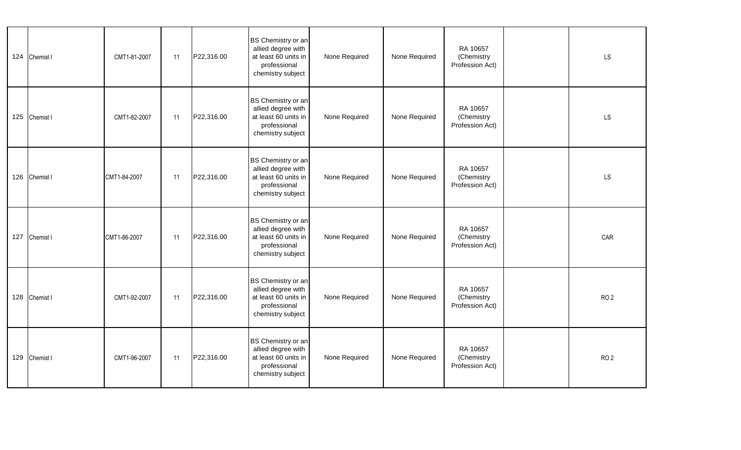|     | 124 Chemist I | CMT1-81-2007 | 11 | P22,316.00 | BS Chemistry or an<br>allied degree with<br>at least 60 units in<br>professional<br>chemistry subject | None Required | None Required | RA 10657<br>(Chemistry<br>Profession Act) | <b>LS</b>       |  |
|-----|---------------|--------------|----|------------|-------------------------------------------------------------------------------------------------------|---------------|---------------|-------------------------------------------|-----------------|--|
|     | 125 Chemist I | CMT1-82-2007 | 11 | P22,316.00 | BS Chemistry or an<br>allied degree with<br>at least 60 units in<br>professional<br>chemistry subject | None Required | None Required | RA 10657<br>(Chemistry<br>Profession Act) | <b>LS</b>       |  |
|     | 126 Chemist I | CMT1-84-2007 | 11 | P22,316.00 | BS Chemistry or an<br>allied degree with<br>at least 60 units in<br>professional<br>chemistry subject | None Required | None Required | RA 10657<br>(Chemistry<br>Profession Act) | LS              |  |
| 127 | Chemist I     | CMT1-86-2007 | 11 | P22,316.00 | BS Chemistry or an<br>allied degree with<br>at least 60 units in<br>professional<br>chemistry subject | None Required | None Required | RA 10657<br>(Chemistry<br>Profession Act) | CAR             |  |
|     | 128 Chemist I | CMT1-92-2007 | 11 | P22,316.00 | BS Chemistry or an<br>allied degree with<br>at least 60 units in<br>professional<br>chemistry subject | None Required | None Required | RA 10657<br>(Chemistry<br>Profession Act) | RO <sub>2</sub> |  |
|     | 129 Chemist I | CMT1-96-2007 | 11 | P22,316.00 | BS Chemistry or an<br>allied degree with<br>at least 60 units in<br>professional<br>chemistry subject | None Required | None Required | RA 10657<br>(Chemistry<br>Profession Act) | RO <sub>2</sub> |  |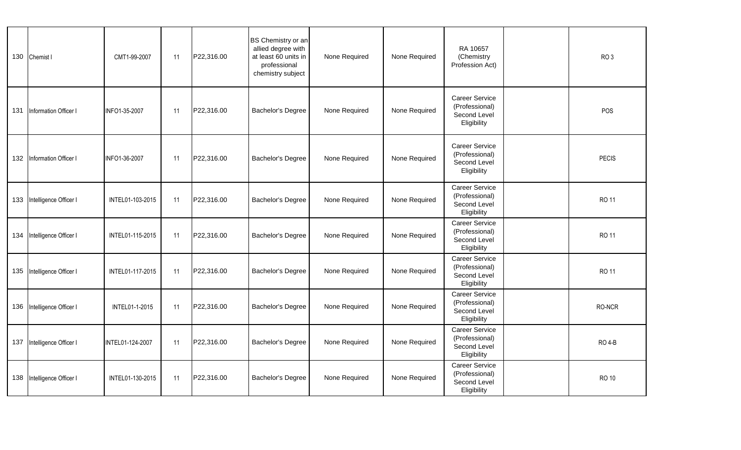|     | 130 Chemist I              | CMT1-99-2007     | 11 | P22,316.00 | BS Chemistry or an<br>allied degree with<br>at least 60 units in<br>professional<br>chemistry subject | None Required | None Required | RA 10657<br>(Chemistry<br>Profession Act)                              | RO <sub>3</sub> |
|-----|----------------------------|------------------|----|------------|-------------------------------------------------------------------------------------------------------|---------------|---------------|------------------------------------------------------------------------|-----------------|
| 131 | Information Officer I      | INFO1-35-2007    | 11 | P22,316.00 | <b>Bachelor's Degree</b>                                                                              | None Required | None Required | <b>Career Service</b><br>(Professional)<br>Second Level<br>Eligibility | POS             |
|     | 132 Information Officer I  | INFO1-36-2007    | 11 | P22,316.00 | Bachelor's Degree                                                                                     | None Required | None Required | <b>Career Service</b><br>(Professional)<br>Second Level<br>Eligibility | <b>PECIS</b>    |
|     | 133 Intelligence Officer I | INTEL01-103-2015 | 11 | P22,316.00 | Bachelor's Degree                                                                                     | None Required | None Required | <b>Career Service</b><br>(Professional)<br>Second Level<br>Eligibility | RO 11           |
|     | 134 Intelligence Officer I | INTEL01-115-2015 | 11 | P22,316.00 | Bachelor's Degree                                                                                     | None Required | None Required | <b>Career Service</b><br>(Professional)<br>Second Level<br>Eligibility | RO 11           |
|     | 135 Intelligence Officer I | INTEL01-117-2015 | 11 | P22,316.00 | Bachelor's Degree                                                                                     | None Required | None Required | <b>Career Service</b><br>(Professional)<br>Second Level<br>Eligibility | RO 11           |
|     | 136 Intelligence Officer I | INTEL01-1-2015   | 11 | P22,316.00 | Bachelor's Degree                                                                                     | None Required | None Required | Career Service<br>(Professional)<br>Second Level<br>Eligibility        | RO-NCR          |
|     | 137 Intelligence Officer I | INTEL01-124-2007 | 11 | P22,316.00 | Bachelor's Degree                                                                                     | None Required | None Required | Career Service<br>(Professional)<br>Second Level<br>Eligibility        | <b>RO 4-B</b>   |
|     | 138 Intelligence Officer I | INTEL01-130-2015 | 11 | P22,316.00 | Bachelor's Degree                                                                                     | None Required | None Required | Career Service<br>(Professional)<br>Second Level<br>Eligibility        | <b>RO 10</b>    |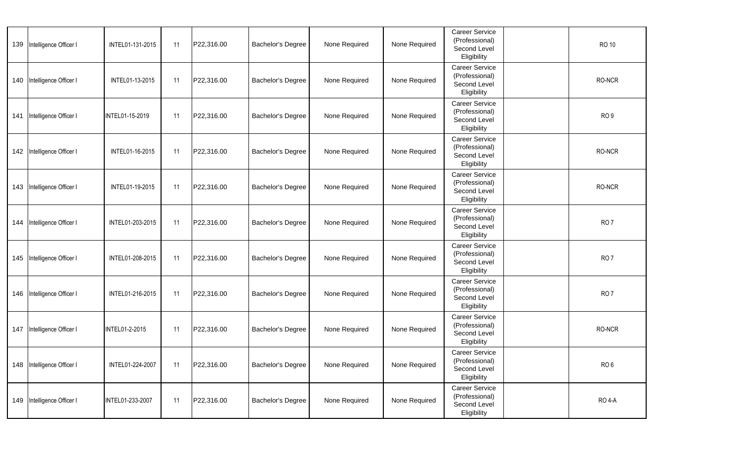|     | 139 Intelligence Officer I | INTEL01-131-2015 | 11 | P22,316.00 | Bachelor's Degree | None Required | None Required | Career Service<br>(Professional)<br>Second Level<br>Eligibility        | <b>RO 10</b>    |
|-----|----------------------------|------------------|----|------------|-------------------|---------------|---------------|------------------------------------------------------------------------|-----------------|
|     | 140 Intelligence Officer I | INTEL01-13-2015  | 11 | P22,316.00 | Bachelor's Degree | None Required | None Required | Career Service<br>(Professional)<br>Second Level<br>Eligibility        | RO-NCR          |
| 141 | Intelligence Officer I     | INTEL01-15-2019  | 11 | P22,316.00 | Bachelor's Degree | None Required | None Required | <b>Career Service</b><br>(Professional)<br>Second Level<br>Eligibility | RO <sub>9</sub> |
|     | 142 Intelligence Officer I | INTEL01-16-2015  | 11 | P22,316.00 | Bachelor's Degree | None Required | None Required | Career Service<br>(Professional)<br>Second Level<br>Eligibility        | RO-NCR          |
|     | 143 Intelligence Officer I | INTEL01-19-2015  | 11 | P22,316.00 | Bachelor's Degree | None Required | None Required | Career Service<br>(Professional)<br>Second Level<br>Eligibility        | RO-NCR          |
| 144 | Intelligence Officer I     | INTEL01-203-2015 | 11 | P22,316.00 | Bachelor's Degree | None Required | None Required | <b>Career Service</b><br>(Professional)<br>Second Level<br>Eligibility | RO <sub>7</sub> |
|     | 145 Intelligence Officer I | INTEL01-208-2015 | 11 | P22,316.00 | Bachelor's Degree | None Required | None Required | <b>Career Service</b><br>(Professional)<br>Second Level<br>Eligibility | RO <sub>7</sub> |
|     | 146 Intelligence Officer I | INTEL01-216-2015 | 11 | P22,316.00 | Bachelor's Degree | None Required | None Required | <b>Career Service</b><br>(Professional)<br>Second Level<br>Eligibility | RO <sub>7</sub> |
| 147 | Intelligence Officer I     | INTEL01-2-2015   | 11 | P22,316.00 | Bachelor's Degree | None Required | None Required | <b>Career Service</b><br>(Professional)<br>Second Level<br>Eligibility | RO-NCR          |
|     | 148 Intelligence Officer I | INTEL01-224-2007 | 11 | P22,316.00 | Bachelor's Degree | None Required | None Required | <b>Career Service</b><br>(Professional)<br>Second Level<br>Eligibility | RO <sub>6</sub> |
|     | 149 Intelligence Officer I | INTEL01-233-2007 | 11 | P22,316.00 | Bachelor's Degree | None Required | None Required | Career Service<br>(Professional)<br>Second Level<br>Eligibility        | <b>RO 4-A</b>   |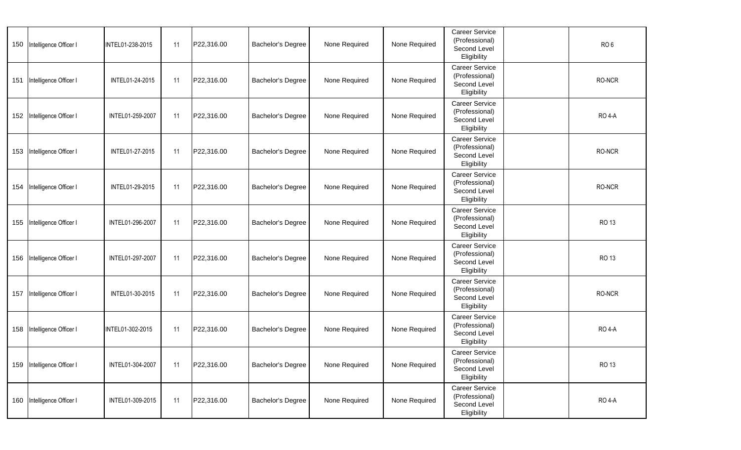|     | 150 Intelligence Officer I | INTEL01-238-2015 | 11 | P22,316.00 | Bachelor's Degree        | None Required | None Required | <b>Career Service</b><br>(Professional)<br>Second Level<br>Eligibility | RO <sub>6</sub> |
|-----|----------------------------|------------------|----|------------|--------------------------|---------------|---------------|------------------------------------------------------------------------|-----------------|
| 151 | Intelligence Officer I     | INTEL01-24-2015  | 11 | P22,316.00 | Bachelor's Degree        | None Required | None Required | <b>Career Service</b><br>(Professional)<br>Second Level<br>Eligibility | RO-NCR          |
|     | 152 Intelligence Officer I | INTEL01-259-2007 | 11 | P22,316.00 | Bachelor's Degree        | None Required | None Required | Career Service<br>(Professional)<br>Second Level<br>Eligibility        | <b>RO 4-A</b>   |
|     | 153 Intelligence Officer I | INTEL01-27-2015  | 11 | P22,316.00 | Bachelor's Degree        | None Required | None Required | Career Service<br>(Professional)<br>Second Level<br>Eligibility        | RO-NCR          |
| 154 | Intelligence Officer I     | INTEL01-29-2015  | 11 | P22,316.00 | <b>Bachelor's Degree</b> | None Required | None Required | <b>Career Service</b><br>(Professional)<br>Second Level<br>Eligibility | RO-NCR          |
|     | 155 Intelligence Officer I | INTEL01-296-2007 | 11 | P22,316.00 | Bachelor's Degree        | None Required | None Required | <b>Career Service</b><br>(Professional)<br>Second Level<br>Eligibility | RO 13           |
|     | 156 Intelligence Officer I | INTEL01-297-2007 | 11 | P22,316.00 | Bachelor's Degree        | None Required | None Required | <b>Career Service</b><br>(Professional)<br>Second Level<br>Eligibility | RO 13           |
| 157 | Intelligence Officer I     | INTEL01-30-2015  | 11 | P22,316.00 | Bachelor's Degree        | None Required | None Required | <b>Career Service</b><br>(Professional)<br>Second Level<br>Eligibility | RO-NCR          |
|     | 158 Intelligence Officer I | INTEL01-302-2015 | 11 | P22,316.00 | Bachelor's Degree        | None Required | None Required | Career Service<br>(Professional)<br>Second Level<br>Eligibility        | <b>RO 4-A</b>   |
|     | 159 Intelligence Officer I | INTEL01-304-2007 | 11 | P22,316.00 | <b>Bachelor's Degree</b> | None Required | None Required | <b>Career Service</b><br>(Professional)<br>Second Level<br>Eligibility | RO 13           |
|     | 160 Intelligence Officer I | INTEL01-309-2015 | 11 | P22,316.00 | Bachelor's Degree        | None Required | None Required | Career Service<br>(Professional)<br>Second Level<br>Eligibility        | <b>RO 4-A</b>   |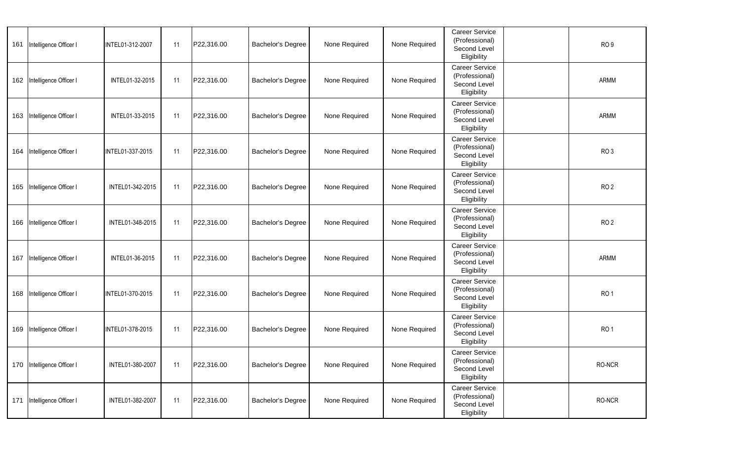| 161 | Intelligence Officer I     | INTEL01-312-2007 | 11 | P22,316.00 | <b>Bachelor's Degree</b> | None Required | None Required | Career Service<br>(Professional)<br>Second Level<br>Eligibility        | RO <sub>9</sub> |  |
|-----|----------------------------|------------------|----|------------|--------------------------|---------------|---------------|------------------------------------------------------------------------|-----------------|--|
| 162 | Intelligence Officer I     | INTEL01-32-2015  | 11 | P22,316.00 | Bachelor's Degree        | None Required | None Required | <b>Career Service</b><br>(Professional)<br>Second Level<br>Eligibility | ARMM            |  |
| 163 | Intelligence Officer I     | INTEL01-33-2015  | 11 | P22,316.00 | Bachelor's Degree        | None Required | None Required | Career Service<br>(Professional)<br>Second Level<br>Eligibility        | ARMM            |  |
|     | 164 Intelligence Officer I | INTEL01-337-2015 | 11 | P22,316.00 | Bachelor's Degree        | None Required | None Required | Career Service<br>(Professional)<br>Second Level<br>Eligibility        | RO <sub>3</sub> |  |
| 165 | Intelligence Officer I     | INTEL01-342-2015 | 11 | P22,316.00 | Bachelor's Degree        | None Required | None Required | Career Service<br>(Professional)<br>Second Level<br>Eligibility        | RO <sub>2</sub> |  |
| 166 | Intelligence Officer I     | INTEL01-348-2015 | 11 | P22,316.00 | Bachelor's Degree        | None Required | None Required | Career Service<br>(Professional)<br>Second Level<br>Eligibility        | RO <sub>2</sub> |  |
| 167 | Intelligence Officer I     | INTEL01-36-2015  | 11 | P22,316.00 | Bachelor's Degree        | None Required | None Required | Career Service<br>(Professional)<br>Second Level<br>Eligibility        | ARMM            |  |
| 168 | Intelligence Officer I     | INTEL01-370-2015 | 11 | P22,316.00 | <b>Bachelor's Degree</b> | None Required | None Required | <b>Career Service</b><br>(Professional)<br>Second Level<br>Eligibility | RO <sub>1</sub> |  |
| 169 | Intelligence Officer I     | INTEL01-378-2015 | 11 | P22,316.00 | <b>Bachelor's Degree</b> | None Required | None Required | Career Service<br>(Professional)<br>Second Level<br>Eligibility        | RO <sub>1</sub> |  |
|     | 170 Intelligence Officer I | INTEL01-380-2007 | 11 | P22,316.00 | <b>Bachelor's Degree</b> | None Required | None Required | <b>Career Service</b><br>(Professional)<br>Second Level<br>Eligibility | RO-NCR          |  |
| 171 | Intelligence Officer I     | INTEL01-382-2007 | 11 | P22,316.00 | <b>Bachelor's Degree</b> | None Required | None Required | <b>Career Service</b><br>(Professional)<br>Second Level<br>Eligibility | RO-NCR          |  |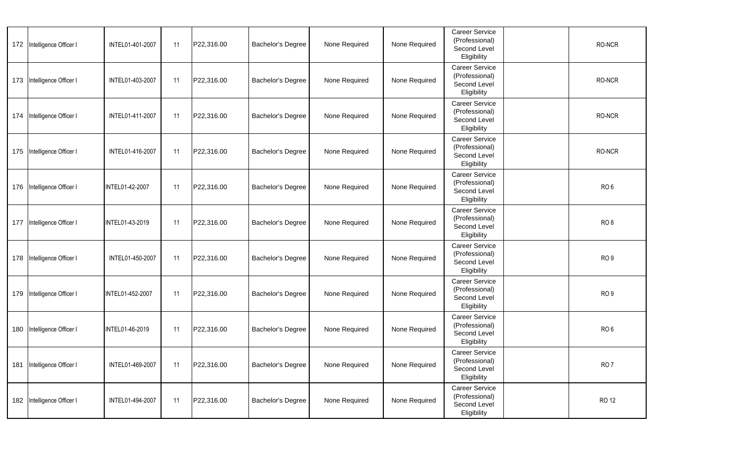|     | 172 Intelligence Officer I | INTEL01-401-2007 | 11 | P22,316.00 | Bachelor's Degree        | None Required | None Required | Career Service<br>(Professional)<br>Second Level<br>Eligibility        | RO-NCR          |
|-----|----------------------------|------------------|----|------------|--------------------------|---------------|---------------|------------------------------------------------------------------------|-----------------|
|     | 173 Intelligence Officer I | INTEL01-403-2007 | 11 | P22,316.00 | Bachelor's Degree        | None Required | None Required | <b>Career Service</b><br>(Professional)<br>Second Level<br>Eligibility | RO-NCR          |
| 174 | Intelligence Officer I     | INTEL01-411-2007 | 11 | P22,316.00 | Bachelor's Degree        | None Required | None Required | Career Service<br>(Professional)<br>Second Level<br>Eligibility        | RO-NCR          |
|     | 175 Intelligence Officer I | INTEL01-416-2007 | 11 | P22,316.00 | Bachelor's Degree        | None Required | None Required | Career Service<br>(Professional)<br>Second Level<br>Eligibility        | RO-NCR          |
|     | 176 Intelligence Officer I | INTEL01-42-2007  | 11 | P22,316.00 | <b>Bachelor's Degree</b> | None Required | None Required | Career Service<br>(Professional)<br>Second Level<br>Eligibility        | RO <sub>6</sub> |
| 177 | Intelligence Officer I     | INTEL01-43-2019  | 11 | P22,316.00 | Bachelor's Degree        | None Required | None Required | <b>Career Service</b><br>(Professional)<br>Second Level<br>Eligibility | RO <sub>8</sub> |
|     | 178 Intelligence Officer I | INTEL01-450-2007 | 11 | P22,316.00 | Bachelor's Degree        | None Required | None Required | <b>Career Service</b><br>(Professional)<br>Second Level<br>Eligibility | RO <sub>9</sub> |
|     | 179 Intelligence Officer I | INTEL01-452-2007 | 11 | P22,316.00 | Bachelor's Degree        | None Required | None Required | <b>Career Service</b><br>(Professional)<br>Second Level<br>Eligibility | RO <sub>9</sub> |
|     | 180 Intelligence Officer I | INTEL01-46-2019  | 11 | P22,316.00 | Bachelor's Degree        | None Required | None Required | Career Service<br>(Professional)<br>Second Level<br>Eligibility        | RO <sub>6</sub> |
|     | 181 Intelligence Officer I | INTEL01-469-2007 | 11 | P22,316.00 | <b>Bachelor's Degree</b> | None Required | None Required | <b>Career Service</b><br>(Professional)<br>Second Level<br>Eligibility | RO <sub>7</sub> |
|     | 182 Intelligence Officer I | INTEL01-494-2007 | 11 | P22,316.00 | Bachelor's Degree        | None Required | None Required | Career Service<br>(Professional)<br>Second Level<br>Eligibility        | <b>RO 12</b>    |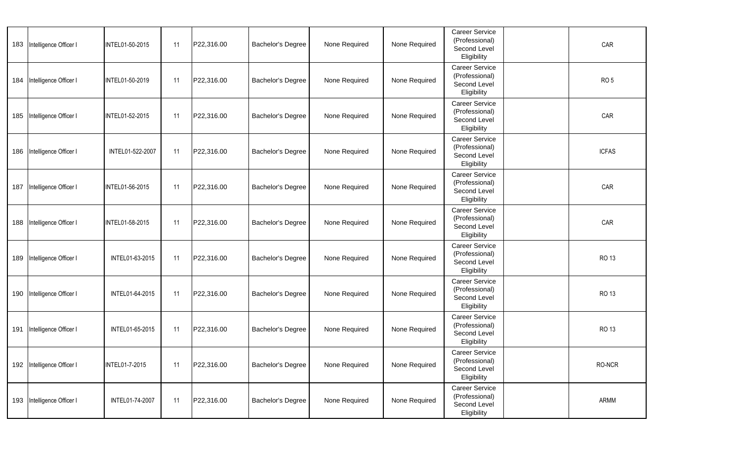| 183 | Intelligence Officer I     | INTEL01-50-2015       | 11 | P22,316.00 | <b>Bachelor's Degree</b> | None Required | None Required | Career Service<br>(Professional)<br>Second Level<br>Eligibility        | CAR             |
|-----|----------------------------|-----------------------|----|------------|--------------------------|---------------|---------------|------------------------------------------------------------------------|-----------------|
| 184 | Intelligence Officer I     | INTEL01-50-2019       | 11 | P22,316.00 | Bachelor's Degree        | None Required | None Required | <b>Career Service</b><br>(Professional)<br>Second Level<br>Eligibility | RO <sub>5</sub> |
| 185 | Intelligence Officer I     | INTEL01-52-2015       | 11 | P22,316.00 | Bachelor's Degree        | None Required | None Required | <b>Career Service</b><br>(Professional)<br>Second Level<br>Eligibility | CAR             |
| 186 | Intelligence Officer I     | INTEL01-522-2007      | 11 | P22,316.00 | Bachelor's Degree        | None Required | None Required | Career Service<br>(Professional)<br>Second Level<br>Eligibility        | <b>ICFAS</b>    |
| 187 | Intelligence Officer I     | INTEL01-56-2015       | 11 | P22,316.00 | Bachelor's Degree        | None Required | None Required | Career Service<br>(Professional)<br>Second Level<br>Eligibility        | CAR             |
| 188 | Intelligence Officer I     | INTEL01-58-2015       | 11 | P22,316.00 | <b>Bachelor's Degree</b> | None Required | None Required | <b>Career Service</b><br>(Professional)<br>Second Level<br>Eligibility | CAR             |
| 189 | Intelligence Officer I     | INTEL01-63-2015       | 11 | P22,316.00 | Bachelor's Degree        | None Required | None Required | <b>Career Service</b><br>(Professional)<br>Second Level<br>Eligibility | RO 13           |
| 190 | Intelligence Officer I     | INTEL01-64-2015       | 11 | P22,316.00 | <b>Bachelor's Degree</b> | None Required | None Required | <b>Career Service</b><br>(Professional)<br>Second Level<br>Eligibility | RO 13           |
| 191 | Intelligence Officer I     | INTEL01-65-2015       | 11 | P22,316.00 | Bachelor's Degree        | None Required | None Required | Career Service<br>(Professional)<br>Second Level<br>Eligibility        | RO 13           |
|     | 192 Intelligence Officer I | <b>INTEL01-7-2015</b> | 11 | P22,316.00 | Bachelor's Degree        | None Required | None Required | <b>Career Service</b><br>(Professional)<br>Second Level<br>Eligibility | RO-NCR          |
|     | 193 Intelligence Officer I | INTEL01-74-2007       | 11 | P22,316.00 | Bachelor's Degree        | None Required | None Required | <b>Career Service</b><br>(Professional)<br>Second Level<br>Eligibility | ARMM            |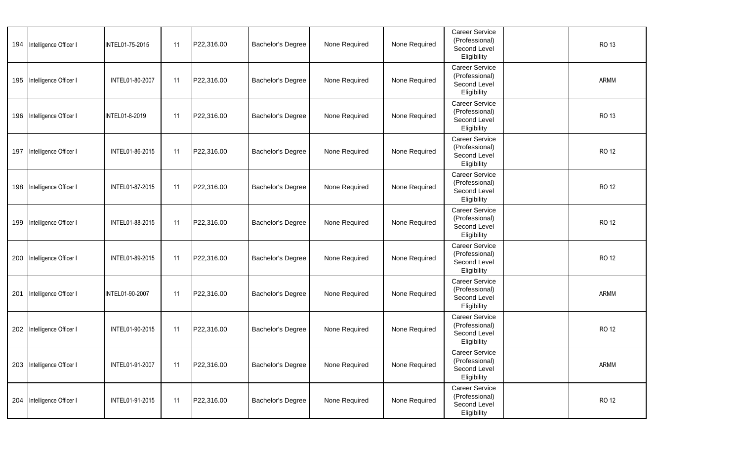| 194 | Intelligence Officer I     | INTEL01-75-2015 | 11 | P22,316.00 | Bachelor's Degree        | None Required | None Required | Career Service<br>(Professional)<br>Second Level<br>Eligibility        | <b>RO 13</b> |
|-----|----------------------------|-----------------|----|------------|--------------------------|---------------|---------------|------------------------------------------------------------------------|--------------|
|     | 195 Intelligence Officer I | INTEL01-80-2007 | 11 | P22,316.00 | <b>Bachelor's Degree</b> | None Required | None Required | Career Service<br>(Professional)<br>Second Level<br>Eligibility        | ARMM         |
|     | 196 Intelligence Officer I | INTEL01-8-2019  | 11 | P22,316.00 | <b>Bachelor's Degree</b> | None Required | None Required | Career Service<br>(Professional)<br>Second Level<br>Eligibility        | RO 13        |
| 197 | Intelligence Officer I     | INTEL01-86-2015 | 11 | P22,316.00 | <b>Bachelor's Degree</b> | None Required | None Required | Career Service<br>(Professional)<br>Second Level<br>Eligibility        | <b>RO 12</b> |
|     | 198 Intelligence Officer I | INTEL01-87-2015 | 11 | P22,316.00 | Bachelor's Degree        | None Required | None Required | Career Service<br>(Professional)<br>Second Level<br>Eligibility        | RO 12        |
| 199 | Intelligence Officer I     | INTEL01-88-2015 | 11 | P22,316.00 | Bachelor's Degree        | None Required | None Required | Career Service<br>(Professional)<br>Second Level<br>Eligibility        | RO 12        |
|     | 200 Intelligence Officer I | INTEL01-89-2015 | 11 | P22,316.00 | <b>Bachelor's Degree</b> | None Required | None Required | <b>Career Service</b><br>(Professional)<br>Second Level<br>Eligibility | RO 12        |
| 201 | Intelligence Officer I     | INTEL01-90-2007 | 11 | P22,316.00 | Bachelor's Degree        | None Required | None Required | Career Service<br>(Professional)<br>Second Level<br>Eligibility        | ARMM         |
|     | 202 Intelligence Officer I | INTEL01-90-2015 | 11 | P22,316.00 | Bachelor's Degree        | None Required | None Required | Career Service<br>(Professional)<br>Second Level<br>Eligibility        | RO 12        |
|     | 203 Intelligence Officer I | INTEL01-91-2007 | 11 | P22,316.00 | Bachelor's Degree        | None Required | None Required | <b>Career Service</b><br>(Professional)<br>Second Level<br>Eligibility | ARMM         |
|     | 204 Intelligence Officer I | INTEL01-91-2015 | 11 | P22,316.00 | Bachelor's Degree        | None Required | None Required | Career Service<br>(Professional)<br>Second Level<br>Eligibility        | <b>RO 12</b> |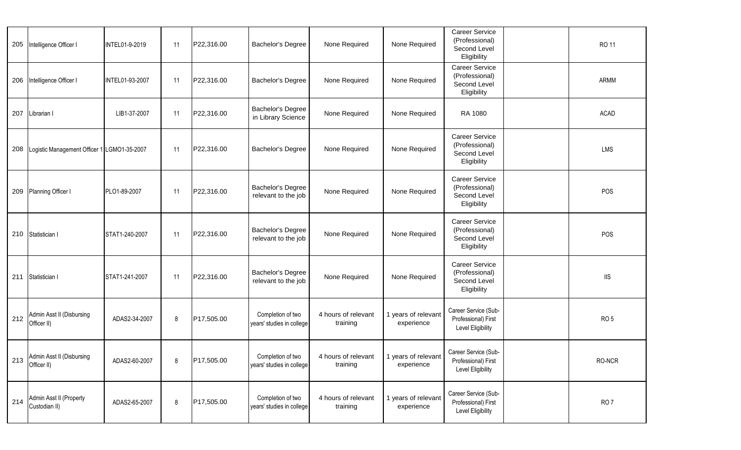| 205 | Intelligence Officer I                      | INTEL01-9-2019  | 11 | P22,316.00 | Bachelor's Degree                              | None Required                                                             | None Required                     | <b>Career Service</b><br>(Professional)<br>Second Level<br>Eligibility | RO 11                   |  |
|-----|---------------------------------------------|-----------------|----|------------|------------------------------------------------|---------------------------------------------------------------------------|-----------------------------------|------------------------------------------------------------------------|-------------------------|--|
| 206 | Intelligence Officer I                      | INTEL01-93-2007 | 11 | P22,316.00 | Bachelor's Degree                              | None Required                                                             | None Required                     | Career Service<br>(Professional)<br>Second Level<br>Eligibility        | ARMM                    |  |
| 207 | Librarian I                                 | LIB1-37-2007    | 11 | P22,316.00 | Bachelor's Degree<br>in Library Science        | None Required                                                             | None Required                     | RA 1080                                                                | ACAD                    |  |
| 208 | Logistic Management Officer 1 LGMO1-35-2007 |                 | 11 | P22,316.00 | Bachelor's Degree                              | None Required                                                             | None Required                     | <b>Career Service</b><br>(Professional)<br>Second Level<br>Eligibility | LMS                     |  |
| 209 | Planning Officer I                          | PLO1-89-2007    | 11 | P22,316.00 | Bachelor's Degree<br>relevant to the job       | None Required                                                             | None Required                     | <b>Career Service</b><br>(Professional)<br>Second Level<br>Eligibility | POS                     |  |
|     | 210 Statistician I                          | STAT1-240-2007  | 11 | P22,316.00 | Bachelor's Degree<br>relevant to the job       | None Required                                                             | None Required                     | Career Service<br>(Professional)<br>Second Level<br>Eligibility        | POS                     |  |
| 211 | Statistician I                              | STAT1-241-2007  | 11 | P22,316.00 | Bachelor's Degree<br>relevant to the job       | None Required                                                             | None Required                     | Career Service<br>(Professional)<br>Second Level<br>Eligibility        | $\overline{\mathsf{I}}$ |  |
| 212 | Admin Asst II (Disbursing<br>Officer II)    | ADAS2-34-2007   | 8  | P17,505.00 | Completion of two<br>years' studies in college | 4 hours of relevant<br>training                                           | 1 years of relevant<br>experience | Career Service (Sub-<br>Professional) First<br>Level Eligibility       | RO <sub>5</sub>         |  |
| 213 | Admin Asst II (Disbursing<br>Officer II)    | ADAS2-60-2007   | 8  | P17,505.00 | years' studies in college                      | Completion of two   4 hours of relevant   1 years of relevant<br>training | experience                        | Career Service (Sub-<br>Professional) First<br>Level Eligibility       | RO-NCR                  |  |
| 214 | Admin Asst II (Property<br>Custodian II)    | ADAS2-65-2007   | 8  | P17,505.00 | Completion of two<br>years' studies in college | 4 hours of relevant<br>training                                           | 1 years of relevant<br>experience | Career Service (Sub-<br>Professional) First<br>Level Eligibility       | RO <sub>7</sub>         |  |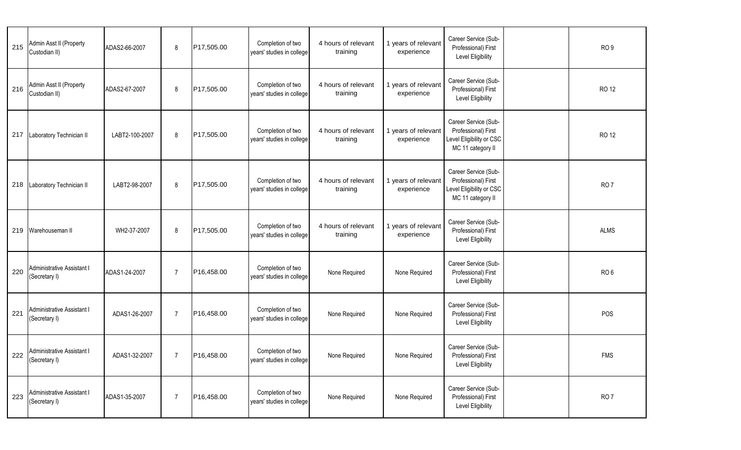| 215 | Admin Asst II (Property<br>Custodian II)        | ADAS2-66-2007  | 8              | P17,505.00 | Completion of two<br>years' studies in college | 4 hours of relevant<br>training | 1 years of relevant<br>experience | Career Service (Sub-<br>Professional) First<br>Level Eligibility                             | RO <sub>9</sub> |
|-----|-------------------------------------------------|----------------|----------------|------------|------------------------------------------------|---------------------------------|-----------------------------------|----------------------------------------------------------------------------------------------|-----------------|
| 216 | Admin Asst II (Property<br>Custodian II)        | ADAS2-67-2007  | 8              | P17,505.00 | Completion of two<br>years' studies in college | 4 hours of relevant<br>training | 1 years of relevant<br>experience | Career Service (Sub-<br>Professional) First<br>Level Eligibility                             | <b>RO 12</b>    |
| 217 | Laboratory Technician II                        | LABT2-100-2007 | 8              | P17,505.00 | Completion of two<br>years' studies in college | 4 hours of relevant<br>training | 1 years of relevant<br>experience | Career Service (Sub-<br>Professional) First<br>Level Eligibility or CSC<br>MC 11 category II | <b>RO 12</b>    |
|     | 218 Laboratory Technician II                    | LABT2-98-2007  | 8              | P17,505.00 | Completion of two<br>years' studies in college | 4 hours of relevant<br>training | 1 years of relevant<br>experience | Career Service (Sub-<br>Professional) First<br>Level Eligibility or CSC<br>MC 11 category II | RO <sub>7</sub> |
|     | 219 Warehouseman II                             | WH2-37-2007    | 8              | P17,505.00 | Completion of two<br>years' studies in college | 4 hours of relevant<br>training | 1 years of relevant<br>experience | Career Service (Sub-<br>Professional) First<br>Level Eligibility                             | <b>ALMS</b>     |
| 220 | Administrative Assistant I<br>(Secretary I)     | ADAS1-24-2007  | 7              | P16,458.00 | Completion of two<br>years' studies in college | None Required                   | None Required                     | Career Service (Sub-<br>Professional) First<br>Level Eligibility                             | RO <sub>6</sub> |
| 221 | Administrative Assistant I<br>(Secretary I)     | ADAS1-26-2007  | $\overline{7}$ | P16,458.00 | Completion of two<br>years' studies in college | None Required                   | None Required                     | Career Service (Sub-<br>Professional) First<br>Level Eligibility                             | POS             |
|     | 222 Administrative Assistant I<br>(Secretary I) | ADAS1-32-2007  | $7^{\circ}$    | P16,458.00 | Completion of two<br>years' studies in college | None Required                   | None Required                     | Career Service (Sub-<br>Professional) First<br>Level Eligibility                             | <b>FMS</b>      |
| 223 | Administrative Assistant I<br>(Secretary I)     | ADAS1-35-2007  | $\overline{7}$ | P16,458.00 | Completion of two<br>years' studies in college | None Required                   | None Required                     | Career Service (Sub-<br>Professional) First<br>Level Eligibility                             | RO <sub>7</sub> |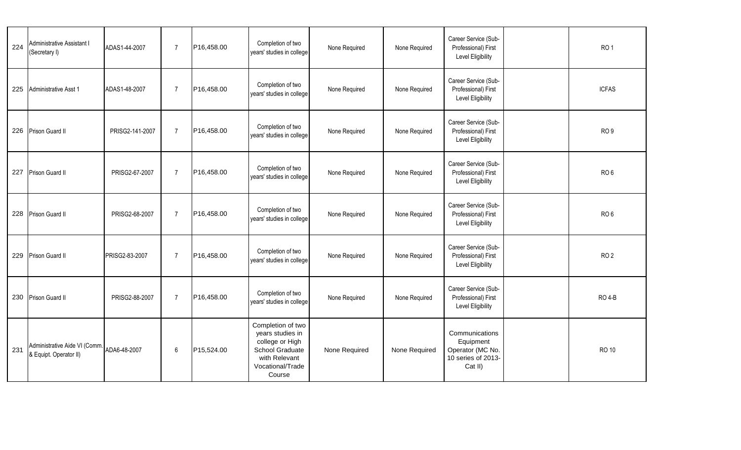| 224 | Administrative Assistant I<br>(Secretary I)             | ADAS1-44-2007   | $\overline{7}$ | P16,458.00 | Completion of two<br>years' studies in college                                                                             | None Required | None Required | Career Service (Sub-<br>Professional) First<br>Level Eligibility                 | RO <sub>1</sub> |
|-----|---------------------------------------------------------|-----------------|----------------|------------|----------------------------------------------------------------------------------------------------------------------------|---------------|---------------|----------------------------------------------------------------------------------|-----------------|
|     | 225 Administrative Asst 1                               | ADAS1-48-2007   | $\overline{7}$ | P16,458.00 | Completion of two<br>years' studies in college                                                                             | None Required | None Required | Career Service (Sub-<br>Professional) First<br>Level Eligibility                 | <b>ICFAS</b>    |
|     | 226 Prison Guard II                                     | PRISG2-141-2007 | $\overline{7}$ | P16,458.00 | Completion of two<br>years' studies in college                                                                             | None Required | None Required | Career Service (Sub-<br>Professional) First<br>Level Eligibility                 | RO <sub>9</sub> |
|     | 227 Prison Guard II                                     | PRISG2-67-2007  | $\overline{7}$ | P16,458.00 | Completion of two<br>years' studies in college                                                                             | None Required | None Required | Career Service (Sub-<br>Professional) First<br>Level Eligibility                 | RO <sub>6</sub> |
|     | 228 Prison Guard II                                     | PRISG2-68-2007  | $\overline{7}$ | P16,458.00 | Completion of two<br>years' studies in college                                                                             | None Required | None Required | Career Service (Sub-<br>Professional) First<br>Level Eligibility                 | RO <sub>6</sub> |
|     | 229 Prison Guard II                                     | PRISG2-83-2007  | $\overline{7}$ | P16,458.00 | Completion of two<br>years' studies in college                                                                             | None Required | None Required | Career Service (Sub-<br>Professional) First<br><b>Level Eligibility</b>          | RO <sub>2</sub> |
|     | 230 Prison Guard II                                     | PRISG2-88-2007  | $\overline{7}$ | P16,458.00 | Completion of two<br>years' studies in college                                                                             | None Required | None Required | Career Service (Sub-<br>Professional) First<br>Level Eligibility                 | <b>RO 4-B</b>   |
| 231 | Administrative Aide VI (Comm.<br>& Equipt. Operator II) | ADA6-48-2007    | 6              | P15,524.00 | Completion of two<br>years studies in<br>college or High<br>School Graduate<br>with Relevant<br>Vocational/Trade<br>Course | None Required | None Required | Communications<br>Equipment<br>Operator (MC No.<br>10 series of 2013-<br>Cat II) | <b>RO 10</b>    |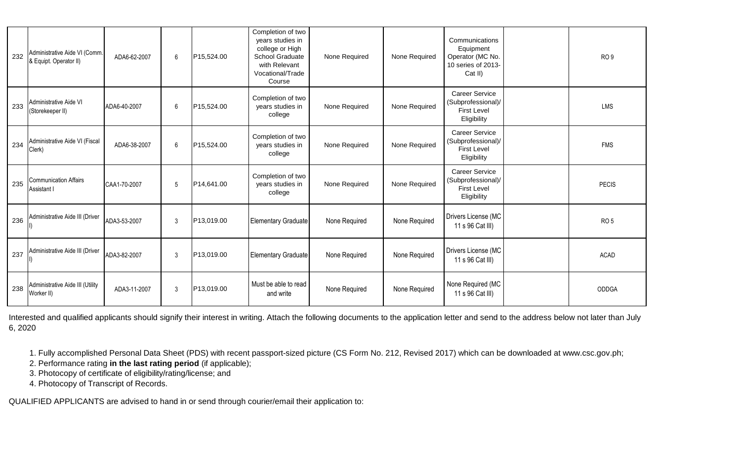| 232 | Administrative Aide VI (Comm.<br>& Equipt. Operator II) | ADA6-62-2007 | 6 | P15,524.00 | Completion of two<br>years studies in<br>college or High<br>School Graduate<br>with Relevant<br>Vocational/Trade<br>Course | None Required | None Required | Communications<br>Equipment<br>Operator (MC No.<br>10 series of 2013-<br>Cat II) | RO <sub>9</sub> |
|-----|---------------------------------------------------------|--------------|---|------------|----------------------------------------------------------------------------------------------------------------------------|---------------|---------------|----------------------------------------------------------------------------------|-----------------|
| 233 | Administrative Aide VI<br>(Storekeeper II)              | ADA6-40-2007 | 6 | P15,524.00 | Completion of two<br>years studies in<br>college                                                                           | None Required | None Required | <b>Career Service</b><br>(Subprofessional)/<br><b>First Level</b><br>Eligibility | LMS             |
| 234 | Administrative Aide VI (Fiscal<br>Clerk)                | ADA6-38-2007 | 6 | P15,524.00 | Completion of two<br>years studies in<br>college                                                                           | None Required | None Required | <b>Career Service</b><br>(Subprofessional)/<br><b>First Level</b><br>Eligibility | <b>FMS</b>      |
| 235 | <b>Communication Affairs</b><br>Assistant I             | CAA1-70-2007 | 5 | P14,641.00 | Completion of two<br>years studies in<br>college                                                                           | None Required | None Required | <b>Career Service</b><br>(Subprofessional)/<br><b>First Level</b><br>Eligibility | <b>PECIS</b>    |
| 236 | Administrative Aide III (Driver                         | ADA3-53-2007 | 3 | P13,019.00 | <b>Elementary Graduate</b>                                                                                                 | None Required | None Required | Drivers License (MC<br>11 s 96 Cat III)                                          | RO <sub>5</sub> |
| 237 | Administrative Aide III (Driver                         | ADA3-82-2007 | 3 | P13,019.00 | <b>Elementary Graduate</b>                                                                                                 | None Required | None Required | Drivers License (MC<br>11 s 96 Cat III)                                          | <b>ACAD</b>     |
| 238 | Administrative Aide III (Utility<br>Worker II)          | ADA3-11-2007 | 3 | P13,019.00 | Must be able to read<br>and write                                                                                          | None Required | None Required | None Required (MC<br>11 s 96 Cat III)                                            | ODDGA           |

Interested and qualified applicants should signify their interest in writing. Attach the following documents to the application letter and send to the address below not later than July 6, 2020

1. Fully accomplished Personal Data Sheet (PDS) with recent passport-sized picture (CS Form No. 212, Revised 2017) which can be downloaded at www.csc.gov.ph;

2. Performance rating **in the last rating period** (if applicable);

3. Photocopy of certificate of eligibility/rating/license; and

4. Photocopy of Transcript of Records.

QUALIFIED APPLICANTS are advised to hand in or send through courier/email their application to: